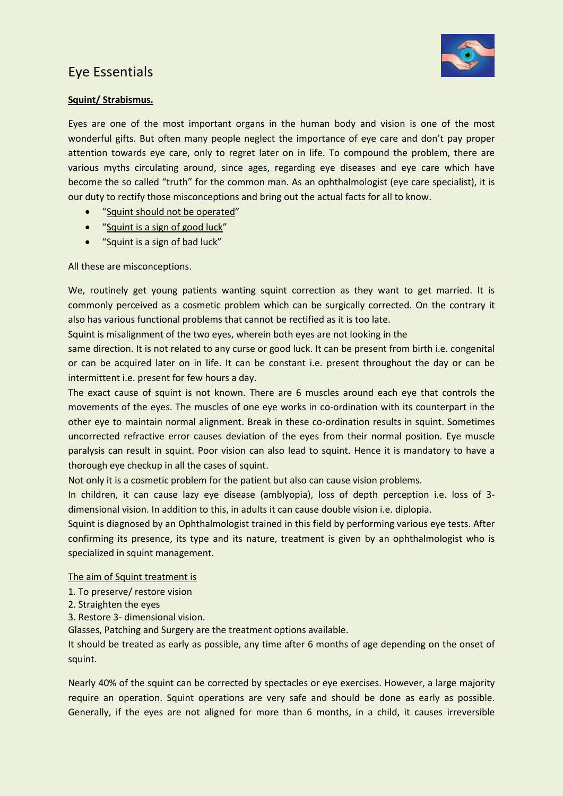## Eye Essentials



## **Squint/ Strabismus.**

Eyes are one of the most important organs in the human body and vision is one of the most wonderful gifts. But often many people neglect the importance of eye care and don't pay proper attention towards eye care, only to regret later on in life. To compound the problem, there are various myths circulating around, since ages, regarding eye diseases and eye care which have become the so called "truth" for the common man. As an ophthalmologist (eye care specialist), it is our duty to rectify those misconceptions and bring out the actual facts for all to know.

- "Squint should not be operated"
- "Squint is a sign of good luck"
- "Squint is a sign of bad luck"

All these are misconceptions.

We, routinely get young patients wanting squint correction as they want to get married. It is commonly perceived as a cosmetic problem which can be surgically corrected. On the contrary it also has various functional problems that cannot be rectified as it is too late.

Squint is misalignment of the two eyes, wherein both eyes are not looking in the

same direction. It is not related to any curse or good luck. It can be present from birth i.e. congenital or can be acquired later on in life. It can be constant i.e. present throughout the day or can be intermittent i.e. present for few hours a day.

The exact cause of squint is not known. There are 6 muscles around each eye that controls the movements of the eyes. The muscles of one eye works in co-ordination with its counterpart in the other eye to maintain normal alignment. Break in these co-ordination results in squint. Sometimes uncorrected refractive error causes deviation of the eyes from their normal position. Eye muscle paralysis can result in squint. Poor vision can also lead to squint. Hence it is mandatory to have a thorough eye checkup in all the cases of squint.

Not only it is a cosmetic problem for the patient but also can cause vision problems.

In children, it can cause lazy eye disease (amblyopia), loss of depth perception i.e. loss of 3 dimensional vision. In addition to this, in adults it can cause double vision i.e. diplopia.

Squint is diagnosed by an Ophthalmologist trained in this field by performing various eye tests. After confirming its presence, its type and its nature, treatment is given by an ophthalmologist who is specialized in squint management.

The aim of Squint treatment is

- 1. To preserve/ restore vision
- 2. Straighten the eyes
- 3. Restore 3- dimensional vision.

Glasses, Patching and Surgery are the treatment options available.

It should be treated as early as possible, any time after 6 months of age depending on the onset of squint.

Nearly 40% of the squint can be corrected by spectacles or eye exercises. However, a large majority require an operation. Squint operations are very safe and should be done as early as possible. Generally, if the eyes are not aligned for more than 6 months, in a child, it causes irreversible